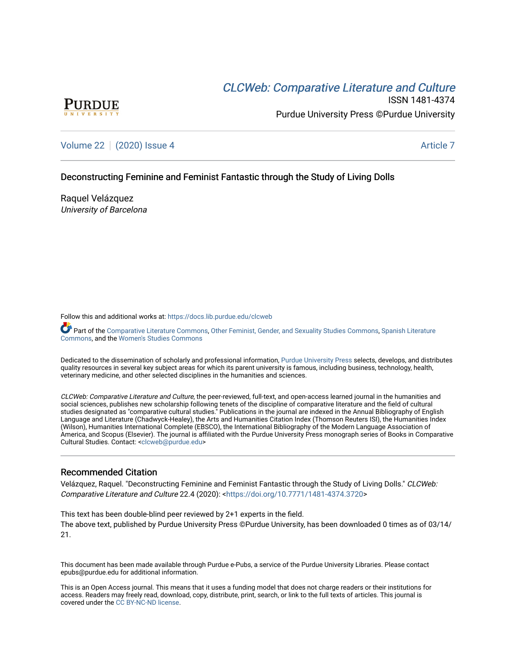# **CLCW[eb: Comparative Liter](https://docs.lib.purdue.edu/clcweb)ature and Culture**



ISSN 1481-4374 Purdue University Press ©Purdue University

[Volume 22](https://docs.lib.purdue.edu/clcweb/vol22) | [\(2020\) Issue 4](https://docs.lib.purdue.edu/clcweb/vol22/iss4) Article 7

# Deconstructing Feminine and Feminist Fantastic through the Study of Living Dolls

Raquel Velázquez University of Barcelona

Follow this and additional works at: [https://docs.lib.purdue.edu/clcweb](https://docs.lib.purdue.edu/clcweb?utm_source=docs.lib.purdue.edu%2Fclcweb%2Fvol22%2Fiss4%2F7&utm_medium=PDF&utm_campaign=PDFCoverPages)

Part of the [Comparative Literature Commons,](http://network.bepress.com/hgg/discipline/454?utm_source=docs.lib.purdue.edu%2Fclcweb%2Fvol22%2Fiss4%2F7&utm_medium=PDF&utm_campaign=PDFCoverPages) [Other Feminist, Gender, and Sexuality Studies Commons](http://network.bepress.com/hgg/discipline/562?utm_source=docs.lib.purdue.edu%2Fclcweb%2Fvol22%2Fiss4%2F7&utm_medium=PDF&utm_campaign=PDFCoverPages), [Spanish Literature](http://network.bepress.com/hgg/discipline/550?utm_source=docs.lib.purdue.edu%2Fclcweb%2Fvol22%2Fiss4%2F7&utm_medium=PDF&utm_campaign=PDFCoverPages) [Commons,](http://network.bepress.com/hgg/discipline/550?utm_source=docs.lib.purdue.edu%2Fclcweb%2Fvol22%2Fiss4%2F7&utm_medium=PDF&utm_campaign=PDFCoverPages) and the [Women's Studies Commons](http://network.bepress.com/hgg/discipline/561?utm_source=docs.lib.purdue.edu%2Fclcweb%2Fvol22%2Fiss4%2F7&utm_medium=PDF&utm_campaign=PDFCoverPages)

Dedicated to the dissemination of scholarly and professional information, [Purdue University Press](http://www.thepress.purdue.edu/) selects, develops, and distributes quality resources in several key subject areas for which its parent university is famous, including business, technology, health, veterinary medicine, and other selected disciplines in the humanities and sciences.

CLCWeb: Comparative Literature and Culture, the peer-reviewed, full-text, and open-access learned journal in the humanities and social sciences, publishes new scholarship following tenets of the discipline of comparative literature and the field of cultural studies designated as "comparative cultural studies." Publications in the journal are indexed in the Annual Bibliography of English Language and Literature (Chadwyck-Healey), the Arts and Humanities Citation Index (Thomson Reuters ISI), the Humanities Index (Wilson), Humanities International Complete (EBSCO), the International Bibliography of the Modern Language Association of America, and Scopus (Elsevier). The journal is affiliated with the Purdue University Press monograph series of Books in Comparative Cultural Studies. Contact: [<clcweb@purdue.edu](mailto:clcweb@purdue.edu)>

# Recommended Citation

Velázquez, Raquel. "Deconstructing Feminine and Feminist Fantastic through the Study of Living Dolls." CLCWeb: Comparative Literature and Culture 22.4 (2020): <<https://doi.org/10.7771/1481-4374.3720>>

This text has been double-blind peer reviewed by 2+1 experts in the field. The above text, published by Purdue University Press ©Purdue University, has been downloaded 0 times as of 03/14/ 21.

This document has been made available through Purdue e-Pubs, a service of the Purdue University Libraries. Please contact epubs@purdue.edu for additional information.

This is an Open Access journal. This means that it uses a funding model that does not charge readers or their institutions for access. Readers may freely read, download, copy, distribute, print, search, or link to the full texts of articles. This journal is covered under the [CC BY-NC-ND license.](https://creativecommons.org/licenses/by-nc-nd/4.0/)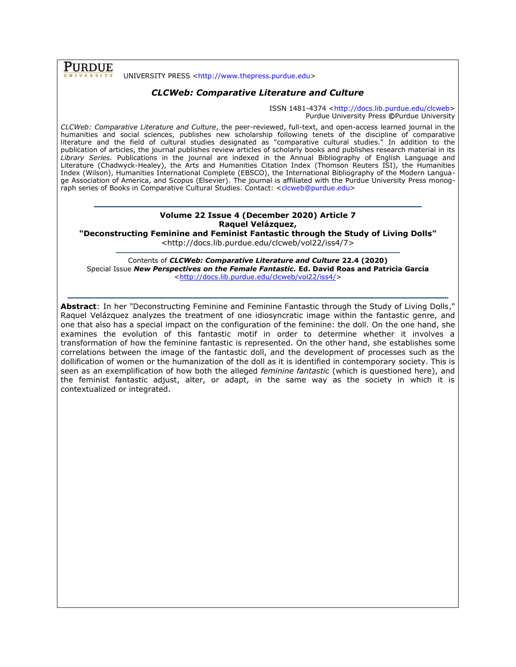**PURDUE** 

#### UNIVERSITY PRESS [<http://www.thepress.purdue.edu>](http://www.thepress.purdue.edu/)

## *CLCWeb: Comparative Literature and Culture*

ISSN 1481-4374 [<http://docs.lib.purdue.edu/clcweb>](http://docs.lib.purdue.edu/clcweb) Purdue University Press **©**Purdue University

*CLCWeb: Comparative Literature and Culture*, the peer-reviewed, full-text, and open-access learned journal in the humanities and social sciences, publishes new scholarship following tenets of the discipline of comparative literature and the field of cultural studies designated as "comparative cultural studies." In addition to the publication of articles, the journal publishes review articles of scholarly books and publishes research material in its *Library Series.* Publications in the journal are indexed in the Annual Bibliography of English Language and Literature (Chadwyck-Healey), the Arts and Humanities Citation Index (Thomson Reuters ISI), the Humanities Index (Wilson), Humanities International Complete (EBSCO), the International Bibliography of the Modern Language Association of America, and Scopus (Elsevier). The journal is affiliated with the Purdue University Press monog-raph series of Books in Comparative Cultural Studies. Contact: [<clcweb@purdue.edu>](mailto:clcweb@purdue.edu)

# **Volume 22 Issue 4 (December 2020) Article 7 Raquel Velázquez,**

**"Deconstructing Feminine and Feminist Fantastic through the Study of Living Dolls"**

<http://docs.lib.purdue.edu/clcweb/vol22/iss4/7>

Contents of *CLCWeb: Comparative Literature and Culture* **22.4 (2020)** Special Issue *New Perspectives on the Female Fantastic.* **Ed. David Roas and Patricia García** [<http://docs.lib.purdue.edu/clcweb/vol22/iss4/>](http://docs.lib.purdue.edu/clcweb/vol22/iss4/)

**Abstract**: In her "Deconstructing Feminine and Feminine Fantastic through the Study of Living Dolls," Raquel Velázquez analyzes the treatment of one idiosyncratic image within the fantastic genre, and one that also has a special impact on the configuration of the feminine: the doll. On the one hand, she examines the evolution of this fantastic motif in order to determine whether it involves a transformation of how the feminine fantastic is represented. On the other hand, she establishes some correlations between the image of the fantastic doll, and the development of processes such as the dollification of women or the humanization of the doll as it is identified in contemporary society. This is seen as an exemplification of how both the alleged *feminine fantastic* (which is questioned here), and the feminist fantastic adjust, alter, or adapt, in the same way as the society in which it is contextualized or integrated.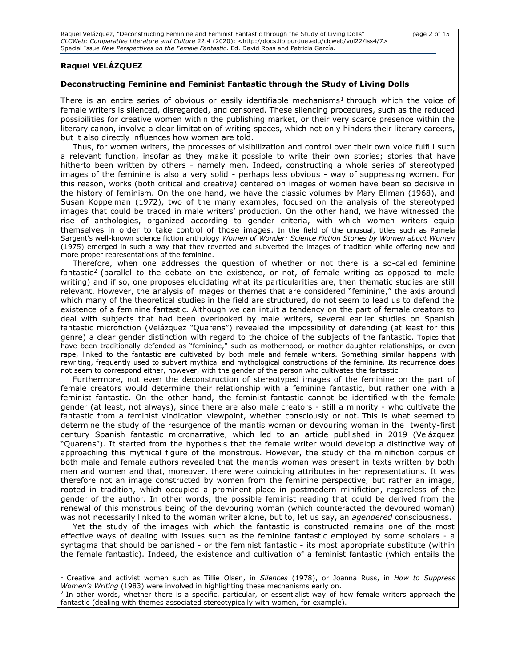Raquel Velázquez, "Deconstructing Feminine and Feminist Fantastic through the Study of Living Dolls" page 2 of 15 *CLCWeb: Comparative Literature and Culture* 22.4 (2020): <http://docs.lib.purdue.edu/clcweb/vol22/iss4/7> Special Issue *New Perspectives on the Female Fantastic*. Ed. David Roas and Patricia García.

# **Raquel VELÁZQUEZ**

#### **Deconstructing Feminine and Feminist Fantastic through the Study of Living Dolls**

There is an entire series of obvious or easily identifiable mechanisms<sup>1</sup> through which the voice of female writers is silenced, disregarded, and censored. These silencing procedures, such as the reduced possibilities for creative women within the publishing market, or their very scarce presence within the literary canon, involve a clear limitation of writing spaces, which not only hinders their literary careers, but it also directly influences how women are told.

Thus, for women writers, the processes of visibilization and control over their own voice fulfill such a relevant function, insofar as they make it possible to write their own stories; stories that have hitherto been written by others - namely men. Indeed, constructing a whole series of stereotyped images of the feminine is also a very solid - perhaps less obvious - way of suppressing women. For this reason, works (both critical and creative) centered on images of women have been so decisive in the history of feminism. On the one hand, we have the classic volumes by Mary Ellman (1968), and Susan Koppelman (1972), two of the many examples, focused on the analysis of the stereotyped images that could be traced in male writers' production. On the other hand, we have witnessed the rise of anthologies, organized according to gender criteria, with which women writers equip themselves in order to take control of those images. In the field of the unusual, titles such as Pamela Sargent's well-known science fiction anthology *Women of Wonder: Science Fiction Stories by Women about Women* (1975) emerged in such a way that they reverted and subverted the images of tradition while offering new and more proper representations of the feminine.

Therefore, when one addresses the question of whether or not there is a so-called feminine fantastic<sup>2</sup> (parallel to the debate on the existence, or not, of female writing as opposed to male writing) and if so, one proposes elucidating what its particularities are, then thematic studies are still relevant. However, the analysis of images or themes that are considered "feminine," the axis around which many of the theoretical studies in the field are structured, do not seem to lead us to defend the existence of a feminine fantastic*.* Although we can intuit a tendency on the part of female creators to deal with subjects that had been overlooked by male writers, several earlier studies on Spanish fantastic microfiction (Velázquez "Quarens") revealed the impossibility of defending (at least for this genre) a clear gender distinction with regard to the choice of the subjects of the fantastic. Topics that have been traditionally defended as "feminine," such as motherhood, or mother-daughter relationships, or even rape, linked to the fantastic are cultivated by both male and female writers. Something similar happens with rewriting, frequently used to subvert mythical and mythological constructions of the feminine. Its recurrence does not seem to correspond either, however, with the gender of the person who cultivates the fantastic

Furthermore, not even the deconstruction of stereotyped images of the feminine on the part of female creators would determine their relationship with a feminine fantastic, but rather one with a feminist fantastic. On the other hand, the feminist fantastic cannot be identified with the female gender (at least, not always), since there are also male creators - still a minority - who cultivate the fantastic from a feminist vindication viewpoint, whether consciously or not. This is what seemed to determine the study of the resurgence of the mantis woman or devouring woman in the twenty-first century Spanish fantastic micronarrative, which led to an article published in 2019 (Velázquez "Quarens"). It started from the hypothesis that the female writer would develop a distinctive way of approaching this mythical figure of the monstrous. However, the study of the minifiction corpus of both male and female authors revealed that the mantis woman was present in texts written by both men and women and that, moreover, there were coinciding attributes in her representations. It was therefore not an image constructed by women from the feminine perspective, but rather an image, rooted in tradition, which occupied a prominent place in postmodern minifiction, regardless of the gender of the author. In other words, the possible feminist reading that could be derived from the renewal of this monstrous being of the devouring woman (which counteracted the devoured woman) was not necessarily linked to the woman writer alone, but to, let us say, an *agendered* consciousness.

Yet the study of the images with which the fantastic is constructed remains one of the most effective ways of dealing with issues such as the feminine fantastic employed by some scholars - a syntagma that should be banished - or the feminist fantastic - its most appropriate substitute (within the female fantastic). Indeed, the existence and cultivation of a feminist fantastic (which entails the

<sup>1</sup> Creative and activist women such as Tillie Olsen, in *Silences* (1978), or Joanna Russ, in *How to Suppress Women's Writing* (1983) were involved in highlighting these mechanisms early on.

<sup>&</sup>lt;sup>2</sup> In other words, whether there is a specific, particular, or essentialist way of how female writers approach the fantastic (dealing with themes associated stereotypically with women, for example).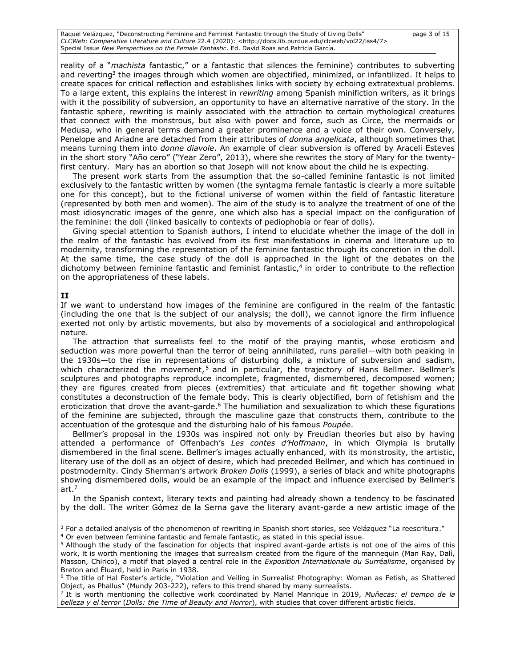Raquel Velázquez, "Deconstructing Feminine and Feminist Fantastic through the Study of Living Dolls" page 3 of 15 *CLCWeb: Comparative Literature and Culture* 22.4 (2020): <http://docs.lib.purdue.edu/clcweb/vol22/iss4/7> Special Issue *New Perspectives on the Female Fantastic*. Ed. David Roas and Patricia García.

reality of a "*machista* fantastic," or a fantastic that silences the feminine) contributes to subverting and reverting<sup>3</sup> the images through which women are objectified, minimized, or infantilized. It helps to create spaces for critical reflection and establishes links with society by echoing extratextual problems. To a large extent, this explains the interest in *rewriting* among Spanish minifiction writers, as it brings with it the possibility of subversion, an opportunity to have an alternative narrative of the story. In the fantastic sphere, rewriting is mainly associated with the attraction to certain mythological creatures that connect with the monstrous, but also with power and force, such as Circe, the mermaids or Medusa, who in general terms demand a greater prominence and a voice of their own. Conversely, Penelope and Ariadne are detached from their attributes of *donna angelicata*, although sometimes that means turning them into *donne diavole*. An example of clear subversion is offered by Araceli Esteves in the short story "Año cero" ("Year Zero", 2013), where she rewrites the story of Mary for the twentyfirst century. Mary has an abortion so that Joseph will not know about the child he is expecting.

The present work starts from the assumption that the so-called feminine fantastic is not limited exclusively to the fantastic written by women (the syntagma female fantastic is clearly a more suitable one for this concept), but to the fictional universe of women within the field of fantastic literature (represented by both men and women). The aim of the study is to analyze the treatment of one of the most idiosyncratic images of the genre, one which also has a special impact on the configuration of the feminine: the doll (linked basically to contexts of pediophobia or fear of dolls).

Giving special attention to Spanish authors, I intend to elucidate whether the image of the doll in the realm of the fantastic has evolved from its first manifestations in cinema and literature up to modernity, transforming the representation of the feminine fantastic through its concretion in the doll. At the same time, the case study of the doll is approached in the light of the debates on the dichotomy between feminine fantastic and feminist fantastic, 4 in order to contribute to the reflection on the appropriateness of these labels.

### **II**

If we want to understand how images of the feminine are configured in the realm of the fantastic (including the one that is the subject of our analysis; the doll), we cannot ignore the firm influence exerted not only by artistic movements, but also by movements of a sociological and anthropological nature.

The attraction that surrealists feel to the motif of the praying mantis, whose eroticism and seduction was more powerful than the terror of being annihilated, runs parallel—with both peaking in the 1930s—to the rise in representations of disturbing dolls, a mixture of subversion and sadism, which characterized the movement,<sup>5</sup> and in particular, the trajectory of Hans Bellmer. Bellmer's sculptures and photographs reproduce incomplete, fragmented, dismembered, decomposed women; they are figures created from pieces (extremities) that articulate and fit together showing what constitutes a deconstruction of the female body. This is clearly objectified, born of fetishism and the eroticization that drove the avant-garde.<sup>6</sup> The humiliation and sexualization to which these figurations of the feminine are subjected, through the masculine gaze that constructs them, contribute to the accentuation of the grotesque and the disturbing halo of his famous *Poupée*.

Bellmer's proposal in the 1930s was inspired not only by Freudian theories but also by having attended a performance of Offenbach's *Les contes d'Hoffmann*, in which Olympia is brutally dismembered in the final scene. Bellmer's images actually enhanced, with its monstrosity, the artistic, literary use of the doll as an object of desire, which had preceded Bellmer, and which has continued in postmodernity. Cindy Sherman's artwork *Broken Dolls* (1999), a series of black and white photographs showing dismembered dolls, would be an example of the impact and influence exercised by Bellmer's art. 7

In the Spanish context, literary texts and painting had already shown a tendency to be fascinated by the doll. The writer Gómez de la Serna gave the literary avant-garde a new artistic image of the

<sup>&</sup>lt;sup>3</sup> For a detailed analysis of the phenomenon of rewriting in Spanish short stories, see Velázquez "La reescritura."

<sup>4</sup> Or even between feminine fantastic and female fantastic, as stated in this special issue.

<sup>5</sup> Although the study of the fascination for objects that inspired avant-garde artists is not one of the aims of this work, it is worth mentioning the images that surrealism created from the figure of the mannequin (Man Ray, Dalí, Masson, Chirico), a motif that played a central role in the *Exposition Internationale du Surréalisme*, organised by Breton and Éluard, held in Paris in 1938.

<sup>&</sup>lt;sup>6</sup> The title of Hal Foster's article, "Violation and Veiling in Surrealist Photography: Woman as Fetish, as Shattered Object, as Phallus" (Mundy 203-222), refers to this trend shared by many surrealists.

<sup>7</sup> It is worth mentioning the collective work coordinated by Mariel Manrique in 2019, *Muñecas: el tiempo de la belleza y el terror* (*Dolls: the Time of Beauty and Horror*), with studies that cover different artistic fields.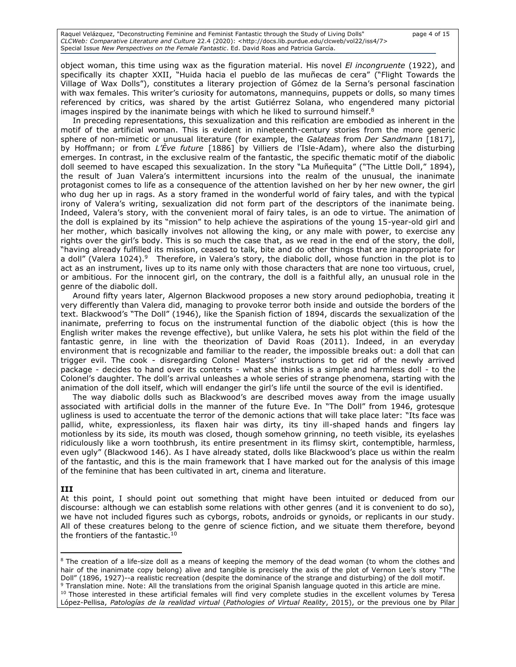object woman, this time using wax as the figuration material. His novel *El incongruente* (1922), and specifically its chapter XXII, "Huida hacia el pueblo de las muñecas de cera" ("Flight Towards the Village of Wax Dolls"), constitutes a literary projection of Gómez de la Serna's personal fascination with wax females. This writer's curiosity for automatons, mannequins, puppets or dolls, so many times referenced by critics, was shared by the artist Gutiérrez Solana, who engendered many pictorial images inspired by the inanimate beings with which he liked to surround himself. $8$ 

In preceding representations, this sexualization and this reification are embodied as inherent in the motif of the artificial woman. This is evident in nineteenth-century stories from the more generic sphere of non-mimetic or unusual literature (for example, the *Galateas* from *Der Sandmann* [1817], by Hoffmann; or from *L'Ève future* [1886] by Villiers de l'Isle-Adam), where also the disturbing emerges. In contrast, in the exclusive realm of the fantastic, the specific thematic motif of the diabolic doll seemed to have escaped this sexualization. In the story "La Muñequita" ("The Little Doll," 1894), the result of Juan Valera's intermittent incursions into the realm of the unusual, the inanimate protagonist comes to life as a consequence of the attention lavished on her by her new owner, the girl who dug her up in rags. As a story framed in the wonderful world of fairy tales, and with the typical irony of Valera's writing, sexualization did not form part of the descriptors of the inanimate being. Indeed, Valera's story, with the convenient moral of fairy tales, is an ode to virtue. The animation of the doll is explained by its "mission" to help achieve the aspirations of the young 15-year-old girl and her mother, which basically involves not allowing the king, or any male with power, to exercise any rights over the girl's body. This is so much the case that, as we read in the end of the story, the doll, "having already fulfilled its mission, ceased to talk, bite and do other things that are inappropriate for a doll" (Valera 1024).<sup>9</sup> Therefore, in Valera's story, the diabolic doll, whose function in the plot is to act as an instrument, lives up to its name only with those characters that are none too virtuous, cruel, or ambitious. For the innocent girl, on the contrary, the doll is a faithful ally, an unusual role in the genre of the diabolic doll.

Around fifty years later, Algernon Blackwood proposes a new story around pediophobia, treating it very differently than Valera did, managing to provoke terror both inside and outside the borders of the text. Blackwood's "The Doll" (1946), like the Spanish fiction of 1894, discards the sexualization of the inanimate, preferring to focus on the instrumental function of the diabolic object (this is how the English writer makes the revenge effective), but unlike Valera, he sets his plot within the field of the fantastic genre, in line with the theorization of David Roas (2011). Indeed, in an everyday environment that is recognizable and familiar to the reader, the impossible breaks out: a doll that can trigger evil. The cook - disregarding Colonel Masters' instructions to get rid of the newly arrived package - decides to hand over its contents - what she thinks is a simple and harmless doll - to the Colonel's daughter. The doll's arrival unleashes a whole series of strange phenomena, starting with the animation of the doll itself, which will endanger the girl's life until the source of the evil is identified.

The way diabolic dolls such as Blackwood's are described moves away from the image usually associated with artificial dolls in the manner of the future Eve. In "The Doll" from 1946, grotesque ugliness is used to accentuate the terror of the demonic actions that will take place later: "Its face was pallid, white, expressionless, its flaxen hair was dirty, its tiny ill-shaped hands and fingers lay motionless by its side, its mouth was closed, though somehow grinning, no teeth visible, its eyelashes ridiculously like a worn toothbrush, its entire presentment in its flimsy skirt, contemptible, harmless, even ugly" (Blackwood 146). As I have already stated, dolls like Blackwood's place us within the realm of the fantastic, and this is the main framework that I have marked out for the analysis of this image of the feminine that has been cultivated in art, cinema and literature.

### **III**

At this point, I should point out something that might have been intuited or deduced from our discourse: although we can establish some relations with other genres (and it is convenient to do so), we have not included figures such as cyborgs, robots, androids or gynoids, or replicants in our study. All of these creatures belong to the genre of science fiction, and we situate them therefore, beyond the frontiers of the fantastic.<sup>10</sup>

<sup>&</sup>lt;sup>8</sup> The creation of a life-size doll as a means of keeping the memory of the dead woman (to whom the clothes and hair of the inanimate copy belong) alive and tangible is precisely the axis of the plot of Vernon Lee's story "The Doll" (1896, 1927)--a realistic recreation (despite the dominance of the strange and disturbing) of the doll motif. <sup>9</sup> Translation mine. Note: All the translations from the original Spanish language quoted in this article are mine.

 $10$  Those interested in these artificial females will find very complete studies in the excellent volumes by Teresa López-Pellisa, *Patologías de la realidad virtual* (*Pathologies of Virtual Reality*, 2015), or the previous one by Pilar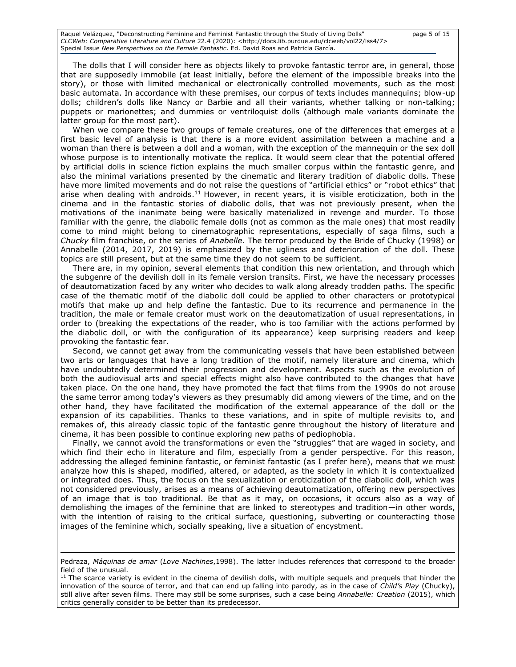Raquel Velázquez, "Deconstructing Feminine and Feminist Fantastic through the Study of Living Dolls" page 5 of 15 *CLCWeb: Comparative Literature and Culture* 22.4 (2020): <http://docs.lib.purdue.edu/clcweb/vol22/iss4/7> Special Issue *New Perspectives on the Female Fantastic*. Ed. David Roas and Patricia García.

The dolls that I will consider here as objects likely to provoke fantastic terror are, in general, those that are supposedly immobile (at least initially, before the element of the impossible breaks into the story), or those with limited mechanical or electronically controlled movements, such as the most basic automata. In accordance with these premises, our corpus of texts includes mannequins; blow-up dolls; children's dolls like Nancy or Barbie and all their variants, whether talking or non-talking; puppets or marionettes; and dummies or ventriloquist dolls (although male variants dominate the latter group for the most part).

When we compare these two groups of female creatures, one of the differences that emerges at a first basic level of analysis is that there is a more evident assimilation between a machine and a woman than there is between a doll and a woman, with the exception of the mannequin or the sex doll whose purpose is to intentionally motivate the replica. It would seem clear that the potential offered by artificial dolls in science fiction explains the much smaller corpus within the fantastic genre, and also the minimal variations presented by the cinematic and literary tradition of diabolic dolls. These have more limited movements and do not raise the questions of "artificial ethics" or "robot ethics" that arise when dealing with androids.<sup>11</sup> However, in recent years, it is visible eroticization, both in the cinema and in the fantastic stories of diabolic dolls, that was not previously present, when the motivations of the inanimate being were basically materialized in revenge and murder. To those familiar with the genre, the diabolic female dolls (not as common as the male ones) that most readily come to mind might belong to cinematographic representations, especially of saga films, such a *Chucky* film franchise, or the series of *Anabelle*. The terror produced by the Bride of Chucky (1998) or Annabelle (2014, 2017, 2019) is emphasized by the ugliness and deterioration of the doll. These topics are still present, but at the same time they do not seem to be sufficient.

There are, in my opinion, several elements that condition this new orientation, and through which the subgenre of the devilish doll in its female version transits. First, we have the necessary processes of deautomatization faced by any writer who decides to walk along already trodden paths. The specific case of the thematic motif of the diabolic doll could be applied to other characters or prototypical motifs that make up and help define the fantastic. Due to its recurrence and permanence in the tradition, the male or female creator must work on the deautomatization of usual representations, in order to (breaking the expectations of the reader, who is too familiar with the actions performed by the diabolic doll, or with the configuration of its appearance) keep surprising readers and keep provoking the fantastic fear.

Second, we cannot get away from the communicating vessels that have been established between two arts or languages that have a long tradition of the motif, namely literature and cinema, which have undoubtedly determined their progression and development. Aspects such as the evolution of both the audiovisual arts and special effects might also have contributed to the changes that have taken place. On the one hand, they have promoted the fact that films from the 1990s do not arouse the same terror among today's viewers as they presumably did among viewers of the time, and on the other hand, they have facilitated the modification of the external appearance of the doll or the expansion of its capabilities. Thanks to these variations, and in spite of multiple revisits to, and remakes of, this already classic topic of the fantastic genre throughout the history of literature and cinema, it has been possible to continue exploring new paths of pediophobia.

Finally, we cannot avoid the transformations or even the "struggles" that are waged in society, and which find their echo in literature and film, especially from a gender perspective. For this reason, addressing the alleged feminine fantastic, or feminist fantastic (as I prefer here), means that we must analyze how this is shaped, modified, altered, or adapted, as the society in which it is contextualized or integrated does. Thus, the focus on the sexualization or eroticization of the diabolic doll, which was not considered previously, arises as a means of achieving deautomatization, offering new perspectives of an image that is too traditional. Be that as it may, on occasions, it occurs also as a way of demolishing the images of the feminine that are linked to stereotypes and tradition—in other words, with the intention of raising to the critical surface, questioning, subverting or counteracting those images of the feminine which, socially speaking, live a situation of encystment.

Pedraza, *Máquinas de amar* (*Love Machines*,1998). The latter includes references that correspond to the broader field of the unusual.

 $11$  The scarce variety is evident in the cinema of devilish dolls, with multiple sequels and prequels that hinder the innovation of the source of terror, and that can end up falling into parody, as in the case of *Child's Play* (Chucky), still alive after seven films. There may still be some surprises, such a case being *Annabelle: Creation* (2015), which critics generally consider to be better than its predecessor.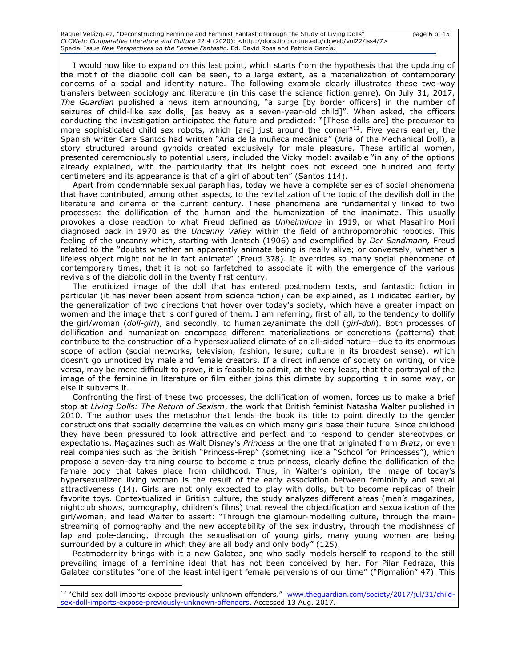Raquel Velázquez, "Deconstructing Feminine and Feminist Fantastic through the Study of Living Dolls" page 6 of 15 *CLCWeb: Comparative Literature and Culture* 22.4 (2020): <http://docs.lib.purdue.edu/clcweb/vol22/iss4/7> Special Issue *New Perspectives on the Female Fantastic*. Ed. David Roas and Patricia García.

I would now like to expand on this last point, which starts from the hypothesis that the updating of the motif of the diabolic doll can be seen, to a large extent, as a materialization of contemporary concerns of a social and identity nature. The following example clearly illustrates these two-way transfers between sociology and literature (in this case the science fiction genre). On July 31, 2017, *The Guardian* published a news item announcing, "a surge [by border officers] in the number of seizures of child-like sex dolls, [as heavy as a seven-year-old child]". When asked, the officers conducting the investigation anticipated the future and predicted: "[These dolls are] the precursor to more sophisticated child sex robots, which [are] just around the corner" $^{12}$ . Five years earlier, the Spanish writer Care Santos had written "Aria de la muñeca mecánica" (Aria of the Mechanical Doll), a story structured around gynoids created exclusively for male pleasure. These artificial women, presented ceremoniously to potential users, included the Vicky model: available "in any of the options already explained, with the particularity that its height does not exceed one hundred and forty centimeters and its appearance is that of a girl of about ten" (Santos 114).

Apart from condemnable sexual paraphilias, today we have a complete series of social phenomena that have contributed, among other aspects, to the revitalization of the topic of the devilish doll in the literature and cinema of the current century. These phenomena are fundamentally linked to two processes: the dollification of the human and the humanization of the inanimate. This usually provokes a close reaction to what Freud defined as *Unheimliche* in 1919, or what Masahiro Mori diagnosed back in 1970 as the *Uncanny Valley* within the field of anthropomorphic robotics. This feeling of the uncanny which, starting with Jentsch (1906) and exemplified by *Der Sandmann,* Freud related to the "doubts whether an apparently animate being is really alive; or conversely, whether a lifeless object might not be in fact animate" (Freud 378). It overrides so many social phenomena of contemporary times, that it is not so farfetched to associate it with the emergence of the various revivals of the diabolic doll in the twenty first century.

The eroticized image of the doll that has entered postmodern texts, and fantastic fiction in particular (it has never been absent from science fiction) can be explained, as I indicated earlier, by the generalization of two directions that hover over today's society, which have a greater impact on women and the image that is configured of them. I am referring, first of all, to the tendency to dollify the girl/woman (*doll-girl*), and secondly, to humanize/animate the doll (*girl-doll*). Both processes of dollification and humanization encompass different materializations or concretions (patterns) that contribute to the construction of a hypersexualized climate of an all-sided nature—due to its enormous scope of action (social networks, television, fashion, leisure; culture in its broadest sense), which doesn't go unnoticed by male and female creators. If a direct influence of society on writing, or vice versa, may be more difficult to prove, it is feasible to admit, at the very least, that the portrayal of the image of the feminine in literature or film either joins this climate by supporting it in some way, or else it subverts it.

Confronting the first of these two processes, the dollification of women, forces us to make a brief stop at *Living Dolls: The Return of Sexism*, the work that British feminist Natasha Walter published in 2010. The author uses the metaphor that lends the book its title to point directly to the gender constructions that socially determine the values on which many girls base their future. Since childhood they have been pressured to look attractive and perfect and to respond to gender stereotypes or expectations. Magazines such as Walt Disney's *Princess* or the one that originated from *Bratz*, or even real companies such as the British "Princess-Prep" (something like a "School for Princesses"), which propose a seven-day training course to become a true princess, clearly define the dollification of the female body that takes place from childhood. Thus, in Walter's opinion, the image of today's hypersexualized living woman is the result of the early association between femininity and sexual attractiveness (14). Girls are not only expected to play with dolls, but to become replicas of their favorite toys. Contextualized in British culture, the study analyzes different areas (men's magazines, nightclub shows, pornography, children's films) that reveal the objectification and sexualization of the girl/woman, and lead Walter to assert: "Through the glamour-modelling culture, through the mainstreaming of pornography and the new acceptability of the sex industry, through the modishness of lap and pole-dancing, through the sexualisation of young girls, many young women are being surrounded by a culture in which they are all body and only body" (125).

Postmodernity brings with it a new Galatea, one who sadly models herself to respond to the still prevailing image of a feminine ideal that has not been conceived by her. For Pilar Pedraza, this Galatea constitutes "one of the least intelligent female perversions of our time" ("Pigmalión" 47). This

<sup>&</sup>lt;sup>12</sup> "Child sex doll imports expose previously unknown offenders." www.thequardian.com/society/2017/jul/31/child[sex-doll-imports-expose-previously-unknown-offenders.](file:///C:/Users/Patricia/Downloads/www.theguardian.com/society/2017/jul/31/child-sex-doll-imports-expose-previously-unknown-offenders) Accessed 13 Aug. 2017.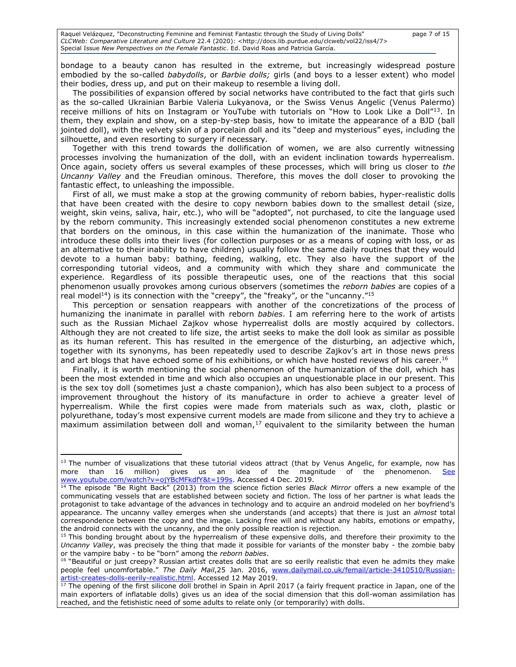Raquel Velázquez, "Deconstructing Feminine and Feminist Fantastic through the Study of Living Dolls" page 7 of 15 *CLCWeb: Comparative Literature and Culture* 22.4 (2020): <http://docs.lib.purdue.edu/clcweb/vol22/iss4/7> Special Issue *New Perspectives on the Female Fantastic*. Ed. David Roas and Patricia García.

bondage to a beauty canon has resulted in the extreme, but increasingly widespread posture embodied by the so-called *babydolls*, or *Barbie dolls;* girls (and boys to a lesser extent) who model their bodies, dress up, and put on their makeup to resemble a living doll.

The possibilities of expansion offered by social networks have contributed to the fact that girls such as the so-called Ukrainian Barbie Valeria Lukyanova, or the Swiss Venus Angelic (Venus Palermo) receive millions of hits on Instagram or YouTube with tutorials on "How to Look Like a Doll"<sup>13</sup>. In them, they explain and show, on a step-by-step basis, how to imitate the appearance of a BJD (ball jointed doll), with the velvety skin of a porcelain doll and its "deep and mysterious" eyes, including the silhouette, and even resorting to surgery if necessary.

Together with this trend towards the dollification of women, we are also currently witnessing processes involving the humanization of the doll, with an evident inclination towards hyperrealism. Once again, society offers us several examples of these processes, which will bring us closer to *the Uncanny Valley* and the Freudian ominous. Therefore, this moves the doll closer to provoking the fantastic effect, to unleashing the impossible.

First of all, we must make a stop at the growing community of reborn babies, hyper-realistic dolls that have been created with the desire to copy newborn babies down to the smallest detail (size, weight, skin veins, saliva, hair, etc.), who will be "adopted", not purchased, to cite the language used by the reborn community. This increasingly extended social phenomenon constitutes a new extreme that borders on the ominous, in this case within the humanization of the inanimate. Those who introduce these dolls into their lives (for collection purposes or as a means of coping with loss, or as an alternative to their inability to have children) usually follow the same daily routines that they would devote to a human baby: bathing, feeding, walking, etc. They also have the support of the corresponding tutorial videos, and a community with which they share and communicate the experience. Regardless of its possible therapeutic uses, one of the reactions that this social phenomenon usually provokes among curious observers (sometimes the *reborn babies* are copies of a real model<sup>14</sup>) is its connection with the "creepy", the "freaky", or the "uncanny."<sup>15</sup>

This perception or sensation reappears with another of the concretizations of the process of humanizing the inanimate in parallel with reborn *babies*. I am referring here to the work of artists such as the Russian Michael Zajkov whose hyperrealist dolls are mostly acquired by collectors. Although they are not created to life size, the artist seeks to make the doll look as similar as possible as its human referent. This has resulted in the emergence of the disturbing, an adjective which, together with its synonyms, has been repeatedly used to describe Zajkov's art in those news press and art blogs that have echoed some of his exhibitions, or which have hosted reviews of his career.<sup>16</sup>

Finally, it is worth mentioning the social phenomenon of the humanization of the doll, which has been the most extended in time and which also occupies an unquestionable place in our present. This is the sex toy doll (sometimes just a chaste companion), which has also been subject to a process of improvement throughout the history of its manufacture in order to achieve a greater level of hyperrealism. While the first copies were made from materials such as wax, cloth, plastic or polyurethane, today's most expensive current models are made from silicone and they try to achieve a maximum assimilation between doll and woman, $17$  equivalent to the similarity between the human

<sup>&</sup>lt;sup>13</sup> The number of visualizations that these tutorial videos attract (that by Venus Angelic, for example, now has more than 16 million) gives us an idea of the magnitude of the phenomenon. [www.youtube.com/watch?v=ojYBcMFkdfY&t=199s.](file:///C:/Users/Patricia/Downloads/See%20www.youtube.com/watch%3fv=ojYBcMFkdfY&t=199s) Accessed 4 Dec. 2019.

<sup>14</sup> The episode "Be Right Back" (2013) from the science fiction series *Black Mirror* offers a new example of the communicating vessels that are established between society and fiction. The loss of her partner is what leads the protagonist to take advantage of the advances in technology and to acquire an android modeled on her boyfriend's appearance. The uncanny valley emerges when she understands (and accepts) that there is just an *almost* total correspondence between the copy and the image. Lacking free will and without any habits, emotions or empathy, the android connects with the uncanny, and the only possible reaction is rejection.

<sup>&</sup>lt;sup>15</sup> This bonding brought about by the hyperrealism of these expensive dolls, and therefore their proximity to the *Uncanny Valley*, was precisely the thing that made it possible for variants of the monster baby - the zombie baby or the vampire baby - to be "born" among the *reborn babies*.

<sup>&</sup>lt;sup>16</sup> "Beautiful or just creepy? Russian artist creates dolls that are so eerily realistic that even he admits they make people feel uncomfortable." *The Daily Mail*,25 Jan. 2016, [www.dailymail.co.uk/femail/article-3410510/Russian](file:///C:/Users/Patricia/Downloads/www.dailymail.co.uk/femail/article-3410510/Russian-artist-creates-dolls-eerily-realistic.html)[artist-creates-dolls-eerily-realistic.html.](file:///C:/Users/Patricia/Downloads/www.dailymail.co.uk/femail/article-3410510/Russian-artist-creates-dolls-eerily-realistic.html) Accessed 12 May 2019.

 $17$  The opening of the first silicone doll brothel in Spain in April 2017 (a fairly frequent practice in Japan, one of the main exporters of inflatable dolls) gives us an idea of the social dimension that this doll-woman assimilation has reached, and the fetishistic need of some adults to relate only (or temporarily) with dolls.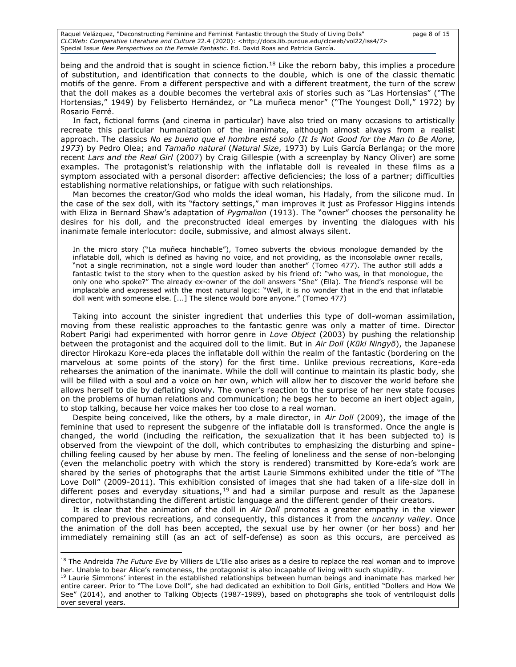Raquel Velázquez, "Deconstructing Feminine and Feminist Fantastic through the Study of Living Dolls" page 8 of 15 *CLCWeb: Comparative Literature and Culture* 22.4 (2020): <http://docs.lib.purdue.edu/clcweb/vol22/iss4/7> Special Issue *New Perspectives on the Female Fantastic*. Ed. David Roas and Patricia García.

being and the android that is sought in science fiction.<sup>18</sup> Like the reborn baby, this implies a procedure of substitution, and identification that connects to the double, which is one of the classic thematic motifs of the genre. From a different perspective and with a different treatment, the turn of the screw that the doll makes as a double becomes the vertebral axis of stories such as "Las Hortensias" ("The Hortensias," 1949) by Felisberto Hernández, or "La muñeca menor" ("The Youngest Doll," 1972) by Rosario Ferré.

In fact, fictional forms (and cinema in particular) have also tried on many occasions to artistically recreate this particular humanization of the inanimate, although almost always from a realist approach. The classics *No es bueno que el hombre esté solo* (*It Is Not Good for the Man to Be Alone, 1973*) by Pedro Olea; and *Tamaño natural* (*Natural Size*, 1973) by Luis García Berlanga; or the more recent *Lars and the Real Girl* (2007) by Craig Gillespie (with a screenplay by Nancy Oliver) are some examples. The protagonist's relationship with the inflatable doll is revealed in these films as a symptom associated with a personal disorder: affective deficiencies; the loss of a partner; difficulties establishing normative relationships, or fatigue with such relationships.

Man becomes the creator/God who molds the ideal woman, his Hadaly, from the silicone mud. In the case of the sex doll, with its "factory settings," man improves it just as Professor Higgins intends with Eliza in Bernard Shaw's adaptation of *Pygmalion* (1913). The "owner" chooses the personality he desires for his doll, and the preconstructed ideal emerges by inventing the dialogues with his inanimate female interlocutor: docile, submissive, and almost always silent.

In the micro story ("La muñeca hinchable"), Tomeo subverts the obvious monologue demanded by the inflatable doll, which is defined as having no voice, and not providing, as the inconsolable owner recalls, "not a single recrimination, not a single word louder than another" (Tomeo 477). The author still adds a fantastic twist to the story when to the question asked by his friend of: "who was, in that monologue, the only one who spoke?" The already ex-owner of the doll answers "She" (Ella). The friend's response will be implacable and expressed with the most natural logic: "Well, it is no wonder that in the end that inflatable doll went with someone else. [...] The silence would bore anyone." (Tomeo 477)

Taking into account the sinister ingredient that underlies this type of doll-woman assimilation, moving from these realistic approaches to the fantastic genre was only a matter of time. Director Robert Parigi had experimented with horror genre in *Love Object* (2003) by pushing the relationship between the protagonist and the acquired doll to the limit. But in *Air Doll* (*Kūki Ningyō*), the Japanese director Hirokazu Kore-eda places the inflatable doll within the realm of the fantastic (bordering on the marvelous at some points of the story) for the first time. Unlike previous recreations, Kore-eda rehearses the animation of the inanimate. While the doll will continue to maintain its plastic body, she will be filled with a soul and a voice on her own, which will allow her to discover the world before she allows herself to die by deflating slowly. The owner's reaction to the surprise of her new state focuses on the problems of human relations and communication; he begs her to become an inert object again, to stop talking, because her voice makes her too close to a real woman.

Despite being conceived, like the others, by a male director, in *Air Doll* (2009), the image of the feminine that used to represent the subgenre of the inflatable doll is transformed. Once the angle is changed, the world (including the reification, the sexualization that it has been subjected to) is observed from the viewpoint of the doll, which contributes to emphasizing the disturbing and spinechilling feeling caused by her abuse by men. The feeling of loneliness and the sense of non-belonging (even the melancholic poetry with which the story is rendered) transmitted by Kore-eda's work are shared by the series of photographs that the artist Laurie Simmons exhibited under the title of "The Love Doll" (2009-2011). This exhibition consisted of images that she had taken of a life-size doll in different poses and everyday situations,<sup>19</sup> and had a similar purpose and result as the Japanese director, notwithstanding the different artistic language and the different gender of their creators.

It is clear that the animation of the doll in *Air Doll* promotes a greater empathy in the viewer compared to previous recreations, and consequently, this distances it from the *uncanny valley*. Once the animation of the doll has been accepted, the sexual use by her owner (or her boss) and her immediately remaining still (as an act of self-defense) as soon as this occurs, are perceived as

<sup>18</sup> The Andreida *The Future Eve* by Villiers de L'Ille also arises as a desire to replace the real woman and to improve her. Unable to bear Alice's remoteness, the protagonist is also incapable of living with such stupidity.

<sup>&</sup>lt;sup>19</sup> Laurie Simmons' interest in the established relationships between human beings and inanimate has marked her entire career. Prior to "The Love Doll", she had dedicated an exhibition to Doll Girls, entitled "Dollers and How We See" (2014), and another to Talking Objects (1987-1989), based on photographs she took of ventriloquist dolls over several years.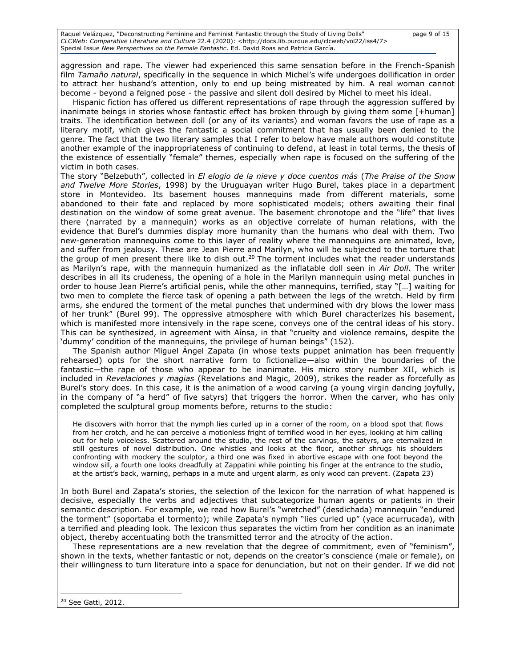Raquel Velázquez, "Deconstructing Feminine and Feminist Fantastic through the Study of Living Dolls" page 9 of 15 *CLCWeb: Comparative Literature and Culture* 22.4 (2020): <http://docs.lib.purdue.edu/clcweb/vol22/iss4/7> Special Issue *New Perspectives on the Female Fantastic*. Ed. David Roas and Patricia García.

aggression and rape. The viewer had experienced this same sensation before in the French-Spanish film *Tamaño natural*, specifically in the sequence in which Michel's wife undergoes dollification in order to attract her husband's attention, only to end up being mistreated by him. A real woman cannot become - beyond a feigned pose - the passive and silent doll desired by Michel to meet his ideal.

Hispanic fiction has offered us different representations of rape through the aggression suffered by inanimate beings in stories whose fantastic effect has broken through by giving them some [+human] traits. The identification between doll (or any of its variants) and woman favors the use of rape as a literary motif, which gives the fantastic a social commitment that has usually been denied to the genre. The fact that the two literary samples that I refer to below have male authors would constitute another example of the inappropriateness of continuing to defend, at least in total terms, the thesis of the existence of essentially "female" themes, especially when rape is focused on the suffering of the victim in both cases.

The story "Belzebuth", collected in *El elogio de la nieve y doce cuentos más* (*The Praise of the Snow and Twelve More Stories*, 1998) by the Uruguayan writer Hugo Burel, takes place in a department store in Montevideo. Its basement houses mannequins made from different materials, some abandoned to their fate and replaced by more sophisticated models; others awaiting their final destination on the window of some great avenue. The basement chronotope and the "life" that lives there (narrated by a mannequin) works as an objective correlate of human relations, with the evidence that Burel's dummies display more humanity than the humans who deal with them. Two new-generation mannequins come to this layer of reality where the mannequins are animated, love, and suffer from jealousy. These are Jean Pierre and Marilyn, who will be subjected to the torture that the group of men present there like to dish out.<sup>20</sup> The torment includes what the reader understands as Marilyn's rape, with the mannequin humanized as the inflatable doll seen in *Air Doll*. The writer describes in all its crudeness, the opening of a hole in the Marilyn mannequin using metal punches in order to house Jean Pierre's artificial penis, while the other mannequins, terrified, stay "[…] waiting for two men to complete the fierce task of opening a path between the legs of the wretch. Held by firm arms, she endured the torment of the metal punches that undermined with dry blows the lower mass of her trunk" (Burel 99). The oppressive atmosphere with which Burel characterizes his basement, which is manifested more intensively in the rape scene, conveys one of the central ideas of his story. This can be synthesized, in agreement with Aínsa, in that "cruelty and violence remains, despite the 'dummy' condition of the mannequins, the privilege of human beings" (152).

The Spanish author Miguel Ángel Zapata (in whose texts puppet animation has been frequently rehearsed) opts for the short narrative form to fictionalize—also within the boundaries of the fantastic—the rape of those who appear to be inanimate. His micro story number XII, which is included in *Revelaciones y magias* (Revelations and Magic, 2009), strikes the reader as forcefully as Burel's story does. In this case, it is the animation of a wood carving (a young virgin dancing joyfully, in the company of "a herd" of five satyrs) that triggers the horror. When the carver, who has only completed the sculptural group moments before, returns to the studio:

He discovers with horror that the nymph lies curled up in a corner of the room, on a blood spot that flows from her crotch, and he can perceive a motionless fright of terrified wood in her eyes, looking at him calling out for help voiceless. Scattered around the studio, the rest of the carvings, the satyrs, are eternalized in still gestures of novel distribution. One whistles and looks at the floor, another shrugs his shoulders confronting with mockery the sculptor, a third one was fixed in abortive escape with one foot beyond the window sill, a fourth one looks dreadfully at Zappatini while pointing his finger at the entrance to the studio, at the artist's back, warning, perhaps in a mute and urgent alarm, as only wood can prevent. (Zapata 23)

In both Burel and Zapata's stories, the selection of the lexicon for the narration of what happened is decisive, especially the verbs and adjectives that subcategorize human agents or patients in their semantic description. For example, we read how Burel's "wretched" (desdichada) mannequin "endured the torment" (soportaba el tormento); while Zapata's nymph "lies curled up" (yace acurrucada), with a terrified and pleading look. The lexicon thus separates the victim from her condition as an inanimate object, thereby accentuating both the transmitted terror and the atrocity of the action.

These representations are a new revelation that the degree of commitment, even of "feminism", shown in the texts, whether fantastic or not, depends on the creator's conscience (male or female), on their willingness to turn literature into a space for denunciation, but not on their gender. If we did not

<sup>20</sup> See Gatti, 2012.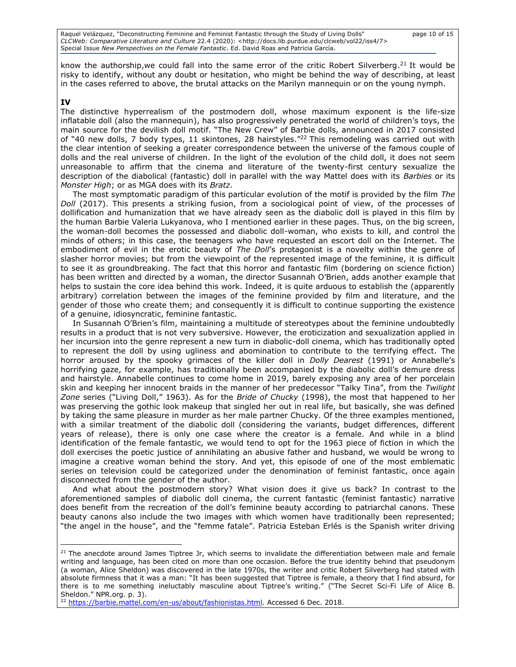Raquel Velázquez, "Deconstructing Feminine and Feminist Fantastic through the Study of Living Dolls" page 10 of 15 *CLCWeb: Comparative Literature and Culture* 22.4 (2020): <http://docs.lib.purdue.edu/clcweb/vol22/iss4/7> Special Issue *New Perspectives on the Female Fantastic*. Ed. David Roas and Patricia García.

know the authorship, we could fall into the same error of the critic Robert Silverberg.<sup>21</sup> It would be risky to identify, without any doubt or hesitation, who might be behind the way of describing, at least in the cases referred to above, the brutal attacks on the Marilyn mannequin or on the young nymph.

# **IV**

The distinctive hyperrealism of the postmodern doll, whose maximum exponent is the life-size inflatable doll (also the mannequin), has also progressively penetrated the world of children's toys, the main source for the devilish doll motif. "The New Crew" of Barbie dolls, announced in 2017 consisted of "40 new dolls, 7 body types, 11 skintones, 28 hairstyles."<sup>22</sup> This remodeling was carried out with the clear intention of seeking a greater correspondence between the universe of the famous couple of dolls and the real universe of children. In the light of the evolution of the child doll, it does not seem unreasonable to affirm that the cinema and literature of the twenty-first century sexualize the description of the diabolical (fantastic) doll in parallel with the way Mattel does with its *Barbies* or its *Monster High*; or as MGA does with its *Bratz*.

The most symptomatic paradigm of this particular evolution of the motif is provided by the film *The Doll* (2017). This presents a striking fusion, from a sociological point of view, of the processes of dollification and humanization that we have already seen as the diabolic doll is played in this film by the human Barbie Valeria Lukyanova, who I mentioned earlier in these pages. Thus, on the big screen, the woman-doll becomes the possessed and diabolic doll-woman, who exists to kill, and control the minds of others; in this case, the teenagers who have requested an escort doll on the Internet. The embodiment of evil in the erotic beauty of *The Doll*'s protagonist is a novelty within the genre of slasher horror movies; but from the viewpoint of the represented image of the feminine, it is difficult to see it as groundbreaking. The fact that this horror and fantastic film (bordering on science fiction) has been written and directed by a woman, the director Susannah O'Brien, adds another example that helps to sustain the core idea behind this work. Indeed, it is quite arduous to establish the (apparently arbitrary) correlation between the images of the feminine provided by film and literature, and the gender of those who create them; and consequently it is difficult to continue supporting the existence of a genuine, idiosyncratic, feminine fantastic.

In Susannah O'Brien's film, maintaining a multitude of stereotypes about the feminine undoubtedly results in a product that is not very subversive. However, the eroticization and sexualization applied in her incursion into the genre represent a new turn in diabolic-doll cinema, which has traditionally opted to represent the doll by using ugliness and abomination to contribute to the terrifying effect. The horror aroused by the spooky grimaces of the killer doll in *Dolly Dearest* (1991) or Annabelle's horrifying gaze, for example, has traditionally been accompanied by the diabolic doll's demure dress and hairstyle. Annabelle continues to come home in 2019, barely exposing any area of her porcelain skin and keeping her innocent braids in the manner of her predecessor "Talky Tina", from the *Twilight Zone* series ("Living Doll," 1963). As for the *Bride of Chucky* (1998), the most that happened to her was preserving the gothic look makeup that singled her out in real life, but basically, she was defined by taking the same pleasure in murder as her male partner Chucky. Of the three examples mentioned, with a similar treatment of the diabolic doll (considering the variants, budget differences, different years of release), there is only one case where the creator is a female. And while in a blind identification of the female fantastic, we would tend to opt for the 1963 piece of fiction in which the doll exercises the poetic justice of annihilating an abusive father and husband, we would be wrong to imagine a creative woman behind the story. And yet, this episode of one of the most emblematic series on television could be categorized under the denomination of feminist fantastic, once again disconnected from the gender of the author.

And what about the postmodern story? What vision does it give us back? In contrast to the aforementioned samples of diabolic doll cinema, the current fantastic (feminist fantastic) narrative does benefit from the recreation of the doll's feminine beauty according to patriarchal canons. These beauty canons also include the two images with which women have traditionally been represented; "the angel in the house", and the "femme fatale". Patricia Esteban Erlés is the Spanish writer driving

<sup>22</sup> [https://barbie.mattel.com/en-us/about/fashionistas.html.](https://barbie.mattel.com/en-us/about/fashionistas.html) Accessed 6 Dec. 2018.

 $21$  The anecdote around James Tiptree Jr, which seems to invalidate the differentiation between male and female writing and language, has been cited on more than one occasion. Before the true identity behind that pseudonym (a woman, Alice Sheldon) was discovered in the late 1970s, the writer and critic Robert Silverberg had stated with absolute firmness that it was a man: "It has been suggested that Tiptree is female, a theory that I find absurd, for there is to me something ineluctably masculine about Tiptree's writing." ("The Secret Sci-Fi Life of Alice B. Sheldon." NPR.org. p. 3).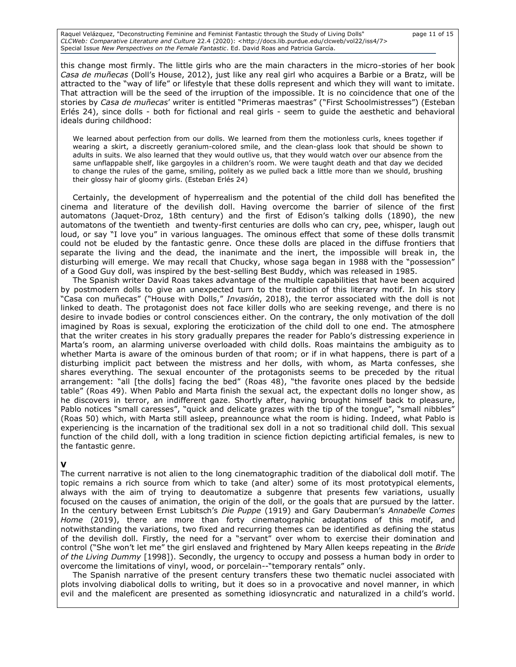Raquel Velázquez, "Deconstructing Feminine and Feminist Fantastic through the Study of Living Dolls" page 11 of 15 *CLCWeb: Comparative Literature and Culture* 22.4 (2020): <http://docs.lib.purdue.edu/clcweb/vol22/iss4/7> Special Issue *New Perspectives on the Female Fantastic*. Ed. David Roas and Patricia García.

this change most firmly. The little girls who are the main characters in the micro-stories of her book *Casa de muñecas* (Doll's House, 2012), just like any real girl who acquires a Barbie or a Bratz, will be attracted to the "way of life" or lifestyle that these dolls represent and which they will want to imitate. That attraction will be the seed of the irruption of the impossible. It is no coincidence that one of the stories by *Casa de muñecas*' writer is entitled "Primeras maestras" ("First Schoolmistresses") (Esteban Erlés 24), since dolls - both for fictional and real girls - seem to guide the aesthetic and behavioral ideals during childhood:

We learned about perfection from our dolls. We learned from them the motionless curls, knees together if wearing a skirt, a discreetly geranium-colored smile, and the clean-glass look that should be shown to adults in suits. We also learned that they would outlive us, that they would watch over our absence from the same unflappable shelf, like gargoyles in a children's room. We were taught death and that day we decided to change the rules of the game, smiling, politely as we pulled back a little more than we should, brushing their glossy hair of gloomy girls. (Esteban Erlés 24)

Certainly, the development of hyperrealism and the potential of the child doll has benefited the cinema and literature of the devilish doll. Having overcome the barrier of silence of the first automatons (Jaquet-Droz, 18th century) and the first of Edison's talking dolls (1890), the new automatons of the twentieth and twenty-first centuries are dolls who can cry, pee, whisper, laugh out loud, or say "I love you" in various languages. The ominous effect that some of these dolls transmit could not be eluded by the fantastic genre. Once these dolls are placed in the diffuse frontiers that separate the living and the dead, the inanimate and the inert, the impossible will break in, the disturbing will emerge. We may recall that Chucky, whose saga began in 1988 with the "possession" of a Good Guy doll, was inspired by the best-selling Best Buddy, which was released in 1985.

The Spanish writer David Roas takes advantage of the multiple capabilities that have been acquired by postmodern dolls to give an unexpected turn to the tradition of this literary motif. In his story "Casa con muñecas" ("House with Dolls," *Invasión*, 2018), the terror associated with the doll is not linked to death. The protagonist does not face killer dolls who are seeking revenge, and there is no desire to invade bodies or control consciences either. On the contrary, the only motivation of the doll imagined by Roas is sexual, exploring the eroticization of the child doll to one end. The atmosphere that the writer creates in his story gradually prepares the reader for Pablo's distressing experience in Marta's room, an alarming universe overloaded with child dolls. Roas maintains the ambiguity as to whether Marta is aware of the ominous burden of that room; or if in what happens, there is part of a disturbing implicit pact between the mistress and her dolls, with whom, as Marta confesses, she shares everything. The sexual encounter of the protagonists seems to be preceded by the ritual arrangement: "all [the dolls] facing the bed" (Roas 48), "the favorite ones placed by the bedside table" (Roas 49). When Pablo and Marta finish the sexual act, the expectant dolls no longer show, as he discovers in terror, an indifferent gaze. Shortly after, having brought himself back to pleasure, Pablo notices "small caresses", "quick and delicate grazes with the tip of the tongue", "small nibbles" (Roas 50) which, with Marta still asleep, preannounce what the room is hiding. Indeed, what Pablo is experiencing is the incarnation of the traditional sex doll in a not so traditional child doll. This sexual function of the child doll, with a long tradition in science fiction depicting artificial females, is new to the fantastic genre.

### **V**

The current narrative is not alien to the long cinematographic tradition of the diabolical doll motif. The topic remains a rich source from which to take (and alter) some of its most prototypical elements, always with the aim of trying to deautomatize a subgenre that presents few variations, usually focused on the causes of animation, the origin of the doll, or the goals that are pursued by the latter. In the century between Ernst Lubitsch's *Die Puppe* (1919) and Gary Dauberman's *Annabelle Comes Home* (2019), there are more than forty cinematographic adaptations of this motif, and notwithstanding the variations, two fixed and recurring themes can be identified as defining the status of the devilish doll. Firstly, the need for a "servant" over whom to exercise their domination and control ("She won't let me" the girl enslaved and frightened by Mary Allen keeps repeating in the *Bride of the Living Dummy* [1998]). Secondly, the urgency to occupy and possess a human body in order to overcome the limitations of vinyl, wood, or porcelain--"temporary rentals" only.

The Spanish narrative of the present century transfers these two thematic nuclei associated with plots involving diabolical dolls to writing, but it does so in a provocative and novel manner, in which evil and the maleficent are presented as something idiosyncratic and naturalized in a child's world.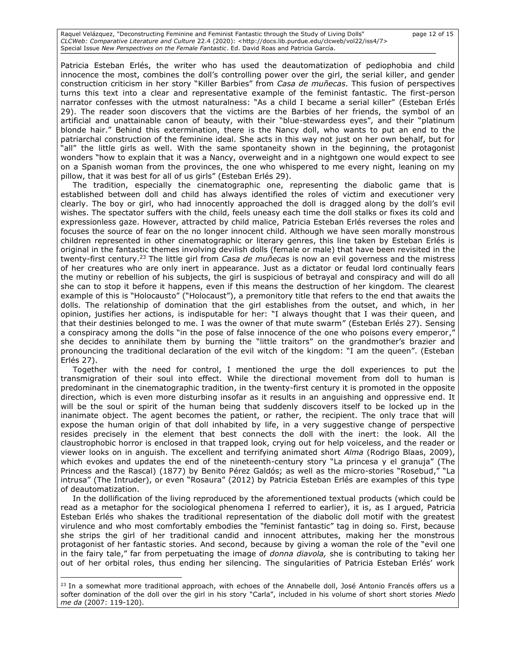Raquel Velázquez, "Deconstructing Feminine and Feminist Fantastic through the Study of Living Dolls" page 12 of 15 *CLCWeb: Comparative Literature and Culture* 22.4 (2020): <http://docs.lib.purdue.edu/clcweb/vol22/iss4/7> Special Issue *New Perspectives on the Female Fantastic*. Ed. David Roas and Patricia García.

Patricia Esteban Erlés, the writer who has used the deautomatization of pediophobia and child innocence the most, combines the doll's controlling power over the girl, the serial killer, and gender construction criticism in her story "Killer Barbies" from *Casa de muñecas*. This fusion of perspectives turns this text into a clear and representative example of the feminist fantastic. The first-person narrator confesses with the utmost naturalness: "As a child I became a serial killer" (Esteban Erlés 29). The reader soon discovers that the victims are the Barbies of her friends, the symbol of an artificial and unattainable canon of beauty, with their "blue-stewardess eyes", and their "platinum blonde hair." Behind this extermination, there is the Nancy doll, who wants to put an end to the patriarchal construction of the feminine ideal. She acts in this way not just on her own behalf, but for "all" the little girls as well. With the same spontaneity shown in the beginning, the protagonist wonders "how to explain that it was a Nancy, overweight and in a nightgown one would expect to see on a Spanish woman from the provinces, the one who whispered to me every night, leaning on my pillow, that it was best for all of us girls" (Esteban Erlés 29).

The tradition, especially the cinematographic one, representing the diabolic game that is established between doll and child has always identified the roles of victim and executioner very clearly. The boy or girl, who had innocently approached the doll is dragged along by the doll's evil wishes. The spectator suffers with the child, feels uneasy each time the doll stalks or fixes its cold and expressionless gaze. However, attracted by child malice, Patricia Esteban Erlés reverses the roles and focuses the source of fear on the no longer innocent child. Although we have seen morally monstrous children represented in other cinematographic or literary genres, this line taken by Esteban Erlés is original in the fantastic themes involving devilish dolls (female or male) that have been revisited in the twenty-first century.<sup>23</sup> The little girl from *Casa de muñecas* is now an evil governess and the mistress of her creatures who are only inert in appearance. Just as a dictator or feudal lord continually fears the mutiny or rebellion of his subjects, the girl is suspicious of betrayal and conspiracy and will do all she can to stop it before it happens, even if this means the destruction of her kingdom. The clearest example of this is "Holocausto" ("Holocaust"), a premonitory title that refers to the end that awaits the dolls. The relationship of domination that the girl establishes from the outset, and which, in her opinion, justifies her actions, is indisputable for her: "I always thought that I was their queen, and that their destinies belonged to me. I was the owner of that mute swarm" (Esteban Erlés 27). Sensing a conspiracy among the dolls "in the pose of false innocence of the one who poisons every emperor," she decides to annihilate them by burning the "little traitors" on the grandmother's brazier and pronouncing the traditional declaration of the evil witch of the kingdom: "I am the queen". (Esteban Erlés 27).

Together with the need for control, I mentioned the urge the doll experiences to put the transmigration of their soul into effect. While the directional movement from doll to human is predominant in the cinematographic tradition, in the twenty-first century it is promoted in the opposite direction, which is even more disturbing insofar as it results in an anguishing and oppressive end. It will be the soul or spirit of the human being that suddenly discovers itself to be locked up in the inanimate object. The agent becomes the patient, or rather, the recipient. The only trace that will expose the human origin of that doll inhabited by life, in a very suggestive change of perspective resides precisely in the element that best connects the doll with the inert: the look. All the claustrophobic horror is enclosed in that trapped look, crying out for help voiceless, and the reader or viewer looks on in anguish. The excellent and terrifying animated short *Alma* (Rodrigo Blaas, 2009), which evokes and updates the end of the nineteenth-century story "La princesa y el granuja" (The Princess and the Rascal) (1877) by Benito Pérez Galdós; as well as the micro-stories "Rosebud," "La intrusa" (The Intruder), or even "Rosaura" (2012) by Patricia Esteban Erlés are examples of this type of deautomatization.

In the dollification of the living reproduced by the aforementioned textual products (which could be read as a metaphor for the sociological phenomena I referred to earlier), it is, as I argued, Patricia Esteban Erlés who shakes the traditional representation of the diabolic doll motif with the greatest virulence and who most comfortably embodies the "feminist fantastic" tag in doing so. First, because she strips the girl of her traditional candid and innocent attributes, making her the monstrous protagonist of her fantastic stories. And second, because by giving a woman the role of the "evil one in the fairy tale," far from perpetuating the image of *donna diavola,* she is contributing to taking her out of her orbital roles, thus ending her silencing. The singularities of Patricia Esteban Erlés' work

<sup>&</sup>lt;sup>23</sup> In a somewhat more traditional approach, with echoes of the Annabelle doll, José Antonio Francés offers us a softer domination of the doll over the girl in his story "Carla", included in his volume of short short stories *Miedo me da* (2007: 119-120).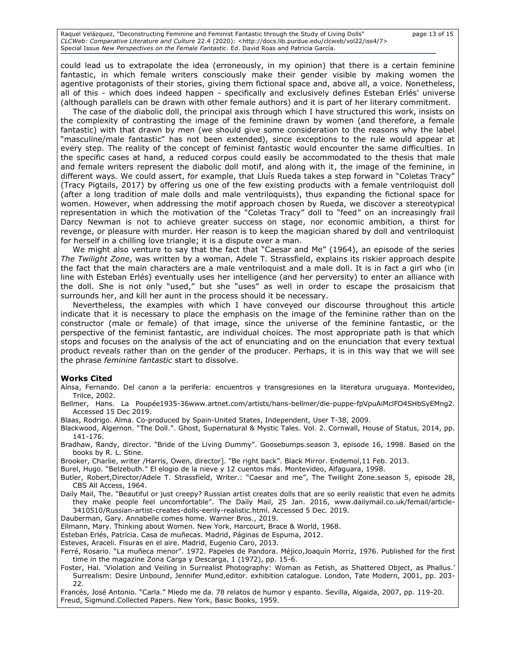Raquel Velázquez, "Deconstructing Feminine and Feminist Fantastic through the Study of Living Dolls" page 13 of 15 *CLCWeb: Comparative Literature and Culture* 22.4 (2020): <http://docs.lib.purdue.edu/clcweb/vol22/iss4/7> Special Issue *New Perspectives on the Female Fantastic*. Ed. David Roas and Patricia García.

could lead us to extrapolate the idea (erroneously, in my opinion) that there is a certain feminine fantastic, in which female writers consciously make their gender visible by making women the agentive protagonists of their stories, giving them fictional space and, above all, a voice. Nonetheless, all of this - which does indeed happen - specifically and exclusively defines Esteban Erlés' universe (although parallels can be drawn with other female authors) and it is part of her literary commitment.

The case of the diabolic doll, the principal axis through which I have structured this work, insists on the complexity of contrasting the image of the feminine drawn by women (and therefore, a female fantastic) with that drawn by men (we should give some consideration to the reasons why the label "masculine/male fantastic" has not been extended), since exceptions to the rule would appear at every step. The reality of the concept of feminist fantastic would encounter the same difficulties. In the specific cases at hand, a reduced corpus could easily be accommodated to the thesis that male and female writers represent the diabolic doll motif, and along with it, the image of the feminine, in different ways. We could assert, for example, that Lluís Rueda takes a step forward in "Coletas Tracy" (Tracy Pigtails, 2017) by offering us one of the few existing products with a female ventriloquist doll (after a long tradition of male dolls and male ventriloquists), thus expanding the fictional space for women. However, when addressing the motif approach chosen by Rueda, we discover a stereotypical representation in which the motivation of the "Coletas Tracy" doll to "feed" on an increasingly frail Darcy Newman is not to achieve greater success on stage, nor economic ambition, a thirst for revenge, or pleasure with murder. Her reason is to keep the magician shared by doll and ventriloquist for herself in a chilling love triangle; it is a dispute over a man.

We might also venture to say that the fact that "Caesar and Me" (1964), an episode of the series *The Twilight Zone*, was written by a woman, Adele T. Strassfield, explains its riskier approach despite the fact that the main characters are a male ventriloquist and a male doll. It is in fact a girl who (in line with Esteban Erlés) eventually uses her intelligence (and her perversity) to enter an alliance with the doll. She is not only "used," but she "uses" as well in order to escape the prosaicism that surrounds her, and kill her aunt in the process should it be necessary.

Nevertheless, the examples with which I have conveyed our discourse throughout this article indicate that it is necessary to place the emphasis on the image of the feminine rather than on the constructor (male or female) of that image, since the universe of the feminine fantastic, or the perspective of the feminist fantastic, are individual choices. The most appropriate path is that which stops and focuses on the analysis of the act of enunciating and on the enunciation that every textual product reveals rather than on the gender of the producer. Perhaps, it is in this way that we will see the phrase *feminine fantastic* start to dissolve.

#### **Works Cited**

Aínsa, Fernando. Del canon a la periferia: encuentros y transgresiones en la literatura uruguaya. Montevideo, Trilce, 2002.

Bellmer, Hans. La Poupée1935-36www.artnet.com/artists/hans-bellmer/die-puppe-fpVpuAiMclFO4SHbSyEMng2. Accessed 15 Dec 2019.

Blaas, Rodrigo. Alma. Co-produced by Spain-United States, [Independent,](https://www.google.com/search?client=firefox-b-d&sxsrf=ALeKk02ZIN7W6-k_hoPU8G1DUpV6Qwiz1Q:1605227890032&q=%C2%A9+Independent&stick=H4sIAAAAAAAAAOPgE-LSz9U3SCs0Ns8uUOLVT9c3NEyqKs_NycjJ0lLITrbST8vMyQUTVgVF-SmlySWZ-XkKyfm5BYl5lYtY-Q6tVPDMS0ktSAUSeSU7WBkBSgjAn1MAAAA&sa=X&ved=2ahUKEwi1zqzxo_7sAhVNXhoKHXe7C6sQmxMoATAcegQICxAD) [User T-38,](https://www.google.com/search?client=firefox-b-d&sxsrf=ALeKk02ZIN7W6-k_hoPU8G1DUpV6Qwiz1Q:1605227890032&q=alma+user+t-38&stick=H4sIAAAAAAAAAOPgE-LSz9U3SCs0Ns8uUAKzk9OLkywNtRSyk6300zJzcsGEVUFRfkppcklmfp5Ccn5uQWJe5SJWvsSc3ESF0uLUIoUSXWOLHayMAJUIlPNQAAAA&sa=X&ved=2ahUKEwi1zqzxo_7sAhVNXhoKHXe7C6sQmxMoAjAcegQICxAE) 2009.

- Blackwood, Algernon. "The Doll.". Ghost, Supernatural & Mystic Tales. Vol. 2. Cornwall, House of Status, 2014, pp. 141-176.
- Bradhaw, Randy, director. "Bride of the Living Dummy". Goosebumps.season 3, episode 16, 1998. Based on the books by R. L. Stine.

Brooker, Charlie, writer /Harris, Owen, director]. "Be right back". Black Mirror. Endemol,11 Feb. 2013.

Burel, Hugo. "Belzebuth." El elogio de la nieve y 12 cuentos más. Montevideo, Alfaguara, 1998.

- Butler, Robert,Director/Adele T. Strassfield, Writer.: "Caesar and me", The Twilight Zone.season 5, episode 28, CBS All Access, 1964.
- Daily Mail, The. "Beautiful or just creepy? Russian artist creates dolls that are so eerily realistic that even he admits they make people feel uncomfortable". The Daily Mail, 25 Jan. 2016, [www.dailymail.co.uk/femail/article-](file:///C:/Users/Patricia/Downloads/www.dailymail.co.uk/femail/article-3410510/Russian-artist-creates-dolls-eerily-realistic.html)[3410510/Russian-artist-creates-dolls-eerily-realistic.html.](file:///C:/Users/Patricia/Downloads/www.dailymail.co.uk/femail/article-3410510/Russian-artist-creates-dolls-eerily-realistic.html) Accessed 5 Dec. 2019.
- Dauberman, Gary. Annabelle comes home. Warner Bros., 2019.

Ellmann, Mary. Thinking about Women. New York, Harcourt, Brace & World, 1968.

- Esteban Erlés, Patricia. Casa de muñecas. Madrid, Páginas de Espuma, 2012.
- Esteves, Araceli. Fisuras en el aire. Madrid, Eugenio Caro, 2013.
- Ferré, Rosario. "La muñeca menor". 1972. Papeles de Pandora. Méjico,Joaquín Morriz, 1976. Published for the first time in the magazine Zona Carga y Descarga, 1 (1972), pp. 15-6.
- Foster, Hal. 'Violation and Veiling in Surrealist Photography: Woman as Fetish, as Shattered Object, as Phallus.' Surrealism: Desire Unbound, Jennifer Mund,editor. exhibition catalogue. London, Tate Modern, 2001, pp. 203- 22.

Francés, José Antonio. "Carla." Miedo me da. 78 relatos de humor y espanto. Sevilla, Algaida, 2007, pp. 119-20. Freud, Sigmund.Collected Papers. New York, Basic Books, 1959.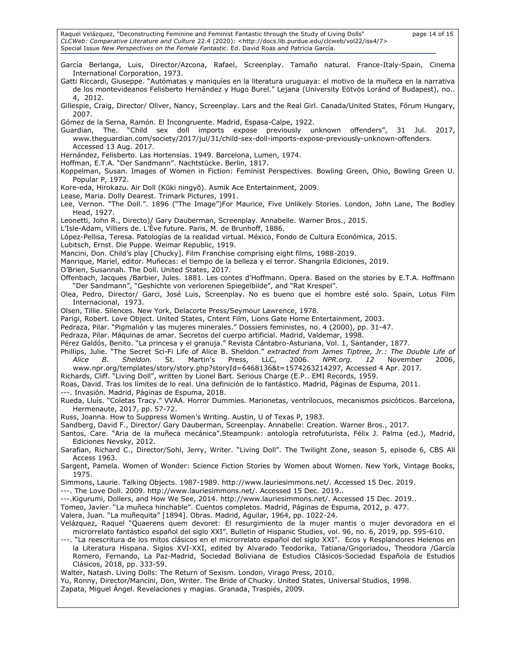Raquel Velázquez, "Deconstructing Feminine and Feminist Fantastic through the Study of Living Dolls" page 14 of 15 *CLCWeb: Comparative Literature and Culture* 22.4 (2020): <http://docs.lib.purdue.edu/clcweb/vol22/iss4/7> Special Issue *New Perspectives on the Female Fantastic*. Ed. David Roas and Patricia García. García Berlanga, Luis, Director/Azcona, Rafael, Screenplay. Tamaño natural. France-Italy-Spain, Cinema International Corporation, 1973. Gatti Riccardi, Giuseppe. "Autómatas y maniquíes en la literatura uruguaya: el motivo de la muñeca en la narrativa de los montevideanos Felisberto Hernández y Hugo Burel." Lejana (University Eötvös Loránd of Budapest), no.. 4, 2012. Gillespie, Craig, Director/ Oliver, Nancy, Screenplay. Lars and the Real Girl. Canada/United States, Fórum Hungary, 2007. Gómez de la Serna, Ramón. El Incongruente. Madrid, Espasa-Calpe, 1922. Guardian, The. "Child sex doll imports expose previously unknown offenders", 31 Jul. 2017, [www.theguardian.com/society/2017/jul/31/child-sex-doll-imports-expose-previously-unknown-offenders.](file:///C:/Users/Patricia/Downloads/www.theguardian.com/society/2017/jul/31/child-sex-doll-imports-expose-previously-unknown-offenders) Accessed 13 Aug. 2017. Hernández, Felisberto. Las Hortensias. 1949. Barcelona, Lumen, 1974. Hoffman, E.T.A. "Der Sandmann". Nachtstücke. Berlin, 1817. Koppelman, Susan. Images of Women in Fiction: Feminist Perspectives. Bowling Green, Ohio, Bowling Green U. Popular P, 1972. Kore-eda, Hirokazu. Air Doll (Kūki ningyō). Asmik Ace Entertainment, 2009. Lease, Maria. Dolly Dearest. Trimark Pictures, 1991. Lee, Vernon. "The Doll.". 1896 ("The Image")For Maurice, Five Unlikely Stories. London, John Lane, The Bodley Head, 1927. Leonetti, John R., Directo)/ Gary Dauberman, Screenplay*.* Annabelle. Warner Bros., 2015. L'Isle-Adam, Villiers de. L'Ève future. Paris, M. de Brunhoff, 1886. López-Pellisa, Teresa. Patologías de la realidad virtual. México, Fondo de Cultura Económica, 2015. Lubitsch, Ernst. Die Puppe. Weimar Republic, 1919. Mancini, Don. Child's play [Chucky]. Film Franchise comprising eight films, 1988-2019. Manrique, Mariel, editor. Muñecas: el tiempo de la belleza y el terror. Shangrila Ediciones, 2019. O'Brien, Susannah. The Doll. United States, 2017. Offenbach, Jacques /Barbier, Jules. 1881. Les contes d'Hoffmann. Opera. Based on the stories by E.T.A. Hoffmann "Der Sandmann", "Geshichte von verlorenen Spiegelbilde", and "Rat Krespel". Olea, Pedro, Director/ Garci, José Luis, Screenplay. No es bueno que el hombre esté solo. Spain, Lotus Film Internacional, 1973. Olsen, Tillie. Silences. New York, Delacorte Press/Seymour Lawrence, 1978. Parigi, Robert. Love Object. United States, Cntent Film, Lions Gate Home Entertainment, 2003. Pedraza, Pilar. "Pigmalión y las mujeres minerales." Dossiers feministes, no. 4 (2000), pp. 31-47. Pedraza, Pilar. Máquinas de amar. Secretos del cuerpo artificial. Madrid, Valdemar, 1998. Pérez Galdós, Benito. "La princesa y el granuja." Revista Cántabro-Asturiana, Vol. 1, Santander, 1877. Phillips, Julie. "The Secret Sci-Fi Life of Alice B. Sheldon." *extracted from James Tiptree, Jr.: The Double Life of Alice B. Sheldon.* St. Martin's Press, LLC, 2006. *NPR.org. 12* November 2006, [www.npr.org/templates/story/story.php?storyId=6468136&t=1574263214297](file:///C:/Users/Patricia/Downloads/www.npr.org/templates/story/story.php%3fstoryId=6468136&t=1574263214297)*,* Accessed 4 Apr. 2017. Richards, Cliff. "Living Doll", written by Lionel Bart. Serious Charge (E.P.. EMI Records, 1959. Roas, David. Tras los límites de lo real. Una definición de lo fantástico. Madrid, Páginas de Espuma, 2011. ---. Invasión. Madrid, Páginas de Espuma, 2018. Rueda, Lluís. "Coletas Tracy." VVAA. Horror Dummies. Marionetas, ventrílocuos, mecanismos psicóticos. Barcelona, Hermenaute, 2017, pp. 57-72. Russ, Joanna. How to Suppress Women's Writing. Austin, U of Texas P, 1983. Sandberg, David F., Director/ Gary Dauberman, Screenplay. Annabelle: Creation. Warner Bros., 2017. Santos, Care. "Aria de la muñeca mecánica".Steampunk: antología retrofuturista, Félix J. Palma (ed.), Madrid, Ediciones Nevsky, 2012. Sarafian, Richard C., Director/Sohl, Jerry, Writer. "Living Doll". The Twilight Zone, season 5, episode 6, CBS All Access 1963. Sargent, Pamela. Women of Wonder: Science Fiction Stories by Women about Women. New York, Vintage Books, 1975. Simmons, Laurie. Talking Objects. 1987-1989. [http://www.lauriesimmons.net/.](http://www.lauriesimmons.net/) Accessed 15 Dec. 2019. ---. The Love Doll. 2009. [http://www.lauriesimmons.net/.](http://www.lauriesimmons.net/) Accessed 15 Dec. 2019.. ---.Kigurumi, Dollers, and How We See, 2014. [http://www.lauriesimmons.net/.](http://www.lauriesimmons.net/) Accessed 15 Dec. 2019.. Tomeo, Javier. "La muñeca hinchable". Cuentos completos. Madrid, Páginas de Espuma, 2012, p. 477. Valera, Juan. "La muñequita" [1894]. Obras. Madrid, Aguilar, 1964, pp. 1022-24. Velázquez, Raquel "Quaerens quem devoret: El resurgimiento de la mujer mantis o mujer devoradora en el microrrelato fantástico español del siglo XXI". Bulletin of Hispanic Studies, vol. 96, no. 6, 2019, pp. 595-610. ---. "La reescritura de los mitos clásicos en el microrrelato español del siglo XXI". Ecos y Resplandores Helenos en la Literatura Hispana. Siglos XVI-XXI, edited by Alvarado Teodorika, Tatiana/Grigoriadou, Theodora /García Romero, Fernando, La Paz-Madrid, Sociedad Boliviana de Estudios Clásicos-Sociedad Española de Estudios Clásicos, 2018, pp. 333-59. Walter, Natash. Living Dolls: The Return of Sexism. London, Virago Press, 2010. Yu, Ronny, Director/Mancini, Don, Writer. The Bride of Chucky. United States, Universal Studios, 1998. Zapata, Miguel Ángel. Revelaciones y magias. Granada, Traspiés, 2009.